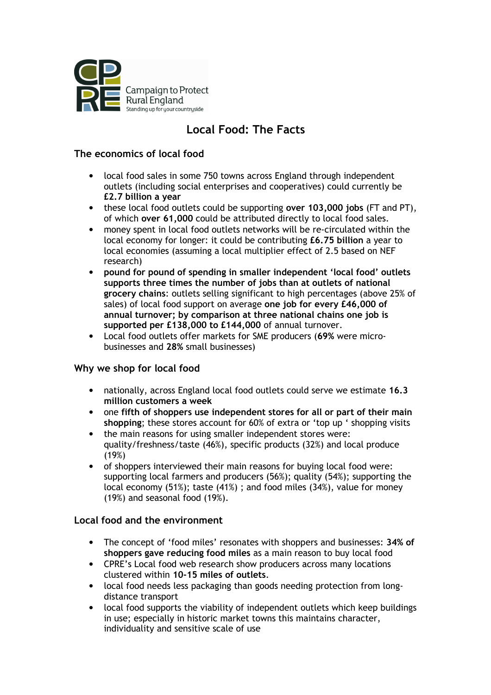

# Local Food: The Facts

# The economics of local food

- local food sales in some 750 towns across England through independent outlets (including social enterprises and cooperatives) could currently be £2.7 billion a year
- these local food outlets could be supporting over 103,000 jobs (FT and PT), of which over 61,000 could be attributed directly to local food sales.
- money spent in local food outlets networks will be re-circulated within the local economy for longer: it could be contributing £6.75 billion a year to local economies (assuming a local multiplier effect of 2.5 based on NEF research)
- pound for pound of spending in smaller independent 'local food' outlets supports three times the number of jobs than at outlets of national grocery chains: outlets selling significant to high percentages (above 25% of sales) of local food support on average one job for every £46,000 of annual turnover; by comparison at three national chains one job is supported per £138,000 to £144,000 of annual turnover.
- Local food outlets offer markets for SME producers (69% were microbusinesses and 28% small businesses)

## Why we shop for local food

- nationally, across England local food outlets could serve we estimate 16.3 million customers a week
- one fifth of shoppers use independent stores for all or part of their main shopping; these stores account for 60% of extra or 'top up ' shopping visits
- the main reasons for using smaller independent stores were: quality/freshness/taste (46%), specific products (32%) and local produce (19%)
- of shoppers interviewed their main reasons for buying local food were: supporting local farmers and producers (56%); quality (54%); supporting the local economy (51%); taste (41%) ; and food miles (34%), value for money (19%) and seasonal food (19%).

# Local food and the environment

- The concept of 'food miles' resonates with shoppers and businesses: 34% of shoppers gave reducing food miles as a main reason to buy local food
- CPRE's Local food web research show producers across many locations clustered within 10-15 miles of outlets.
- local food needs less packaging than goods needing protection from longdistance transport
- local food supports the viability of independent outlets which keep buildings in use; especially in historic market towns this maintains character, individuality and sensitive scale of use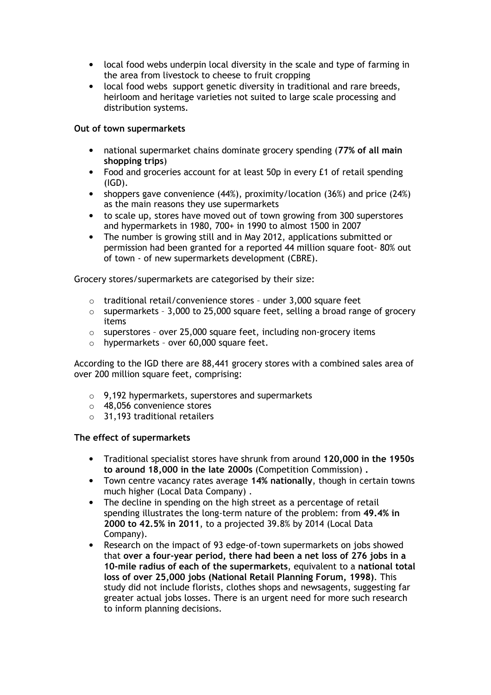- local food webs underpin local diversity in the scale and type of farming in the area from livestock to cheese to fruit cropping
- local food webs support genetic diversity in traditional and rare breeds, heirloom and heritage varieties not suited to large scale processing and distribution systems.

#### Out of town supermarkets

- national supermarket chains dominate grocery spending (77% of all main shopping trips)
- Food and groceries account for at least 50p in every £1 of retail spending (IGD).
- shoppers gave convenience (44%), proximity/location (36%) and price (24%) as the main reasons they use supermarkets
- to scale up, stores have moved out of town growing from 300 superstores and hypermarkets in 1980, 700+ in 1990 to almost 1500 in 2007
- The number is growing still and in May 2012, applications submitted or permission had been granted for a reported 44 million square foot- 80% out of town - of new supermarkets development (CBRE).

Grocery stores/supermarkets are categorised by their size:

- o traditional retail/convenience stores under 3,000 square feet
- o supermarkets 3,000 to 25,000 square feet, selling a broad range of grocery items
- o superstores over 25,000 square feet, including non-grocery items
- $\circ$  hypermarkets over 60,000 square feet.

According to the IGD there are 88,441 grocery stores with a combined sales area of over 200 million square feet, comprising:

- o 9,192 hypermarkets, superstores and supermarkets
- o 48,056 convenience stores
- o 31,193 traditional retailers

#### The effect of supermarkets

- Traditional specialist stores have shrunk from around 120,000 in the 1950s to around 18,000 in the late 2000s (Competition Commission) .
- Town centre vacancy rates average 14% nationally, though in certain towns much higher (Local Data Company) .
- The decline in spending on the high street as a percentage of retail spending illustrates the long-term nature of the problem: from 49.4% in 2000 to 42.5% in 2011, to a projected 39.8% by 2014 (Local Data Company).
- Research on the impact of 93 edge-of-town supermarkets on jobs showed that over a four-year period, there had been a net loss of 276 jobs in a 10-mile radius of each of the supermarkets, equivalent to a national total loss of over 25,000 jobs (National Retail Planning Forum, 1998). This study did not include florists, clothes shops and newsagents, suggesting far greater actual jobs losses. There is an urgent need for more such research to inform planning decisions.